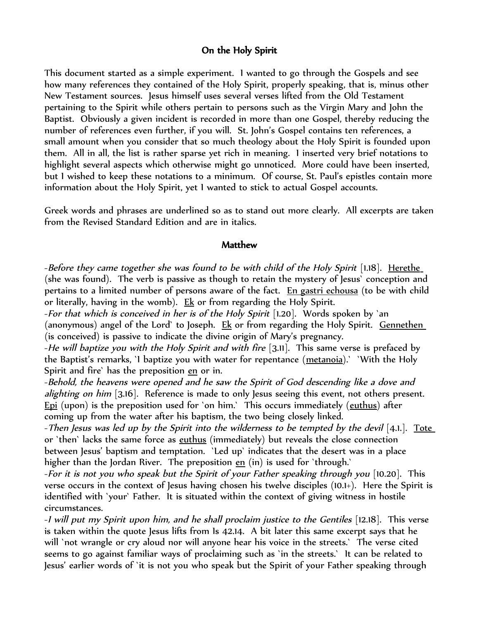## On the Holy Spirit

This document started as a simple experiment. I wanted to go through the Gospels and see how many references they contained of the Holy Spirit, properly speaking, that is, minus other New Testament sources. Jesus himself uses several verses lifted from the Old Testament pertaining to the Spirit while others pertain to persons such as the Virgin Mary and John the Baptist. Obviously a given incident is recorded in more than one Gospel, thereby reducing the number of references even further, if you will. St. John's Gospel contains ten references, a small amount when you consider that so much theology about the Holy Spirit is founded upon them. All in all, the list is rather sparse yet rich in meaning. I inserted very brief notations to highlight several aspects which otherwise might go unnoticed. More could have been inserted, but I wished to keep these notations to a minimum. Of course, St. Paul's epistles contain more information about the Holy Spirit, yet I wanted to stick to actual Gospel accounts.

Greek words and phrases are underlined so as to stand out more clearly. All excerpts are taken from the Revised Standard Edition and are in italics.

#### **Matthew**

-Before they came together she was found to be with child of the Holy Spirit [1.18]. Herethe (she was found). The verb is passive as though to retain the mystery of Jesus` conception and pertains to a limited number of persons aware of the fact. En gastri echousa (to be with child or literally, having in the womb). Ek or from regarding the Holy Spirit.

-For that which is conceived in her is of the Holy Spirit [1.20]. Words spoken by `an (anonymous) angel of the Lord` to Joseph. Ek or from regarding the Holy Spirit. Gennethen (is conceived) is passive to indicate the divine origin of Mary's pregnancy.

-He will baptize you with the Holy Spirit and with fire  $[3.11]$ . This same verse is prefaced by the Baptist's remarks, 'I baptize you with water for repentance (metanoia). ` 'With the Holy Spirit and fire` has the preposition en or in.

-Behold, the heavens were opened and he saw the Spirit of God descending like a dove and *alighting on him* [3.16]. Reference is made to only lesus seeing this event, not others present. Epi (upon) is the preposition used for `on him.` This occurs immediately (euthus) after coming up from the water after his baptism, the two being closely linked.

-Then Jesus was led up by the Spirit into the wilderness to be tempted by the devil [4.1.]. Tote or `then` lacks the same force as euthus (immediately) but reveals the close connection between Jesus' baptism and temptation. `Led up` indicates that the desert was in a place higher than the Jordan River. The preposition  $en$  (in) is used for 'through.'</u>

-For it is not you who speak but the Spirit of your Father speaking through you [10.20]. This verse occurs in the context of Jesus having chosen his twelve disciples (10.1+). Here the Spirit is identified with `your` Father. It is situated within the context of giving witness in hostile circumstances.

-I will put my Spirit upon him, and he shall proclaim justice to the Gentiles [12.18]. This verse is taken within the quote Jesus lifts from Is 42.14. A bit later this same excerpt says that he will 'not wrangle or cry aloud nor will anyone hear his voice in the streets.' The verse cited seems to go against familiar ways of proclaiming such as `in the streets.` It can be related to Jesus' earlier words of `it is not you who speak but the Spirit of your Father speaking through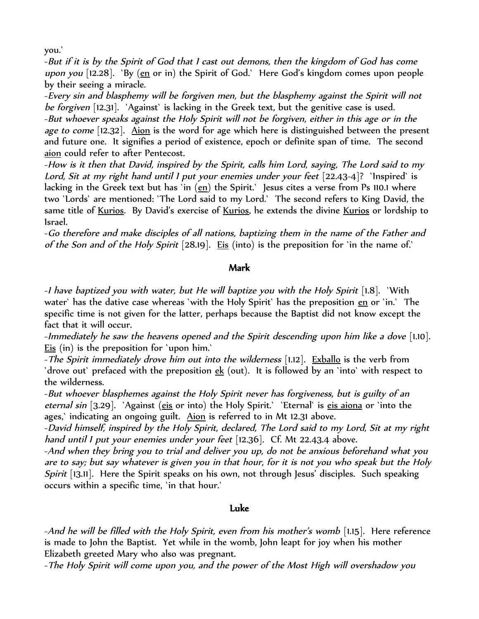you.`

-But if it is by the Spirit of God that I cast out demons, then the kingdom of God has come upon you [12.28]. `By  $(en \text{ or in})$  the Spirit of God.` Here God's kingdom comes upon people by their seeing a miracle.

-Every sin and blasphemy will be forgiven men, but the blasphemy against the Spirit will not be forgiven [12.31]. `Against` is lacking in the Greek text, but the genitive case is used. -But whoever speaks against the Holy Spirit will not be forgiven, either in this age or in the age to come [12.32]. Aion is the word for age which here is distinguished between the present and future one. It signifies a period of existence, epoch or definite span of time. The second aion could refer to after Pentecost.

-How is it then that David, inspired by the Spirit, calls him Lord, saying, The Lord said to my Lord, Sit at my right hand until I put your enemies under your feet [22.43-4]? `Inspired` is lacking in the Greek text but has 'in  $\frac{1}{2}$  the Spirit.' Jesus cites a verse from Ps 110.1 where two `Lords` are mentioned: `The Lord said to my Lord.` The second refers to King David, the same title of Kurios. By David's exercise of Kurios, he extends the divine Kurios or lordship to Israel.

-Go therefore and make disciples of all nations, baptizing them in the name of the Father and of the Son and of the Holy Spirit  $[28.19]$ . Eis (into) is the preposition for 'in the name of.'

### Mark

-I have baptized you with water, but He will baptize you with the Holy Spirit [1.8]. `With water' has the dative case whereas 'with the Holy Spirit' has the preposition en or 'in.' The specific time is not given for the latter, perhaps because the Baptist did not know except the fact that it will occur.

-Immediately he saw the heavens opened and the Spirit descending upon him like a dove [1.10]. Eis (in) is the preposition for `upon him.`

-The Spirit immediately drove him out into the wilderness [1.12]. Exballo is the verb from `drove out` prefaced with the preposition ek (out). It is followed by an `into` with respect to the wilderness.

-But whoever blasphemes against the Holy Spirit never has forgiveness, but is guilty of an eternal sin [3.29]. `Against (eis or into) the Holy Spirit.` `Eternal` is eis aiona or `into the ages,' indicating an ongoing guilt. Aion is referred to in Mt 12.31 above.

-David himself, inspired by the Holy Spirit, declared, The Lord said to my Lord, Sit at my right hand until I put your enemies under your feet [12.36]. Cf. Mt 22.43.4 above.

-And when they bring you to trial and deliver you up, do not be anxious beforehand what you are to say; but say whatever is given you in that hour, for it is not you who speak but the Holy Spirit [13.11]. Here the Spirit speaks on his own, not through Jesus' disciples. Such speaking occurs within a specific time, `in that hour.`

### Luke

-And he will be filled with the Holy Spirit, even from his mother's womb [1.15]. Here reference is made to John the Baptist. Yet while in the womb, John leapt for joy when his mother Elizabeth greeted Mary who also was pregnant.

-The Holy Spirit will come upon you, and the power of the Most High will overshadow you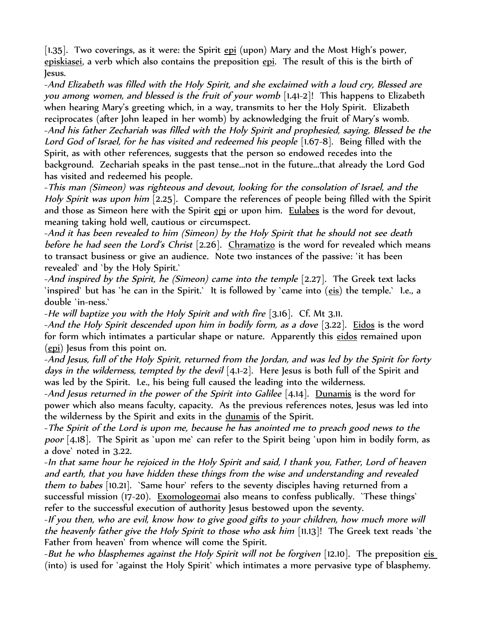[1.35]. Two coverings, as it were: the Spirit  $epi$  (upon) Mary and the Most High's power, episkiasei, a verb which also contains the preposition epi. The result of this is the birth of Jesus.

-And Elizabeth was filled with the Holy Spirit, and she exclaimed with a loud cry, Blessed are you among women, and blessed is the fruit of your womb [1.41-2]! This happens to Elizabeth when hearing Mary's greeting which, in a way, transmits to her the Holy Spirit. Elizabeth reciprocates (after John leaped in her womb) by acknowledging the fruit of Mary's womb. -And his father Zechariah was filled with the Holy Spirit and prophesied, saying, Blessed be the Lord God of Israel, for he has visited and redeemed his people [1.67-8]. Being filled with the Spirit, as with other references, suggests that the person so endowed recedes into the background. Zechariah speaks in the past tense...not in the future...that already the Lord God has visited and redeemed his people.

-This man (Simeon) was righteous and devout, looking for the consolation of Israel, and the Holy Spirit was upon him [2.25]. Compare the references of people being filled with the Spirit and those as Simeon here with the Spirit epi or upon him. Eulabes is the word for devout, meaning taking hold well, cautious or circumspect.

-And it has been revealed to him (Simeon) by the Holy Spirit that he should not see death before he had seen the Lord's Christ  $[2.26]$ . Chramatizo is the word for revealed which means to transact business or give an audience. Note two instances of the passive: `it has been revealed` and `by the Holy Spirit.`

-And inspired by the Spirit, he (Simeon) came into the temple  $[2.27]$ . The Greek text lacks `inspired` but has `he can in the Spirit.` It is followed by `came into (eis) the temple.` I.e., a double `in-ness.`

-He will baptize you with the Holy Spirit and with fire [3.16]. Cf. Mt 3.11.

-And the Holy Spirit descended upon him in bodily form, as a dove [3.22]. Eidos is the word for form which intimates a particular shape or nature. Apparently this eidos remained upon (epi) Jesus from this point on.

-And Jesus, full of the Holy Spirit, returned from the Jordan, and was led by the Spirit for forty days in the wilderness, tempted by the devil  $[4,1-2]$ . Here Jesus is both full of the Spirit and was led by the Spirit. I.e., his being full caused the leading into the wilderness.

-And Jesus returned in the power of the Spirit into Galilee  $[4.14]$ . Dunamis is the word for power which also means faculty, capacity. As the previous references notes, Jesus was led into the wilderness by the Spirit and exits in the dunamis of the Spirit.

-The Spirit of the Lord is upon me, because he has anointed me to preach good news to the poor [4.18]. The Spirit as 'upon me' can refer to the Spirit being 'upon him in bodily form, as a dove` noted in 3.22.

-In that same hour he rejoiced in the Holy Spirit and said, I thank you, Father, Lord of heaven and earth, that you have hidden these things from the wise and understanding and revealed them to babes [10.21]. `Same hour` refers to the seventy disciples having returned from a successful mission (17-20). Exomologeomai also means to confess publically. `These things` refer to the successful execution of authority Jesus bestowed upon the seventy.

-If you then, who are evil, know how to give good gifts to your children, how much more will the heavenly father give the Holy Spirit to those who ask him [11.13]! The Greek text reads `the Father from heaven` from whence will come the Spirit.

-But he who blasphemes against the Holy Spirit will not be forgiven [12.10]. The preposition eis (into) is used for `against the Holy Spirit` which intimates a more pervasive type of blasphemy.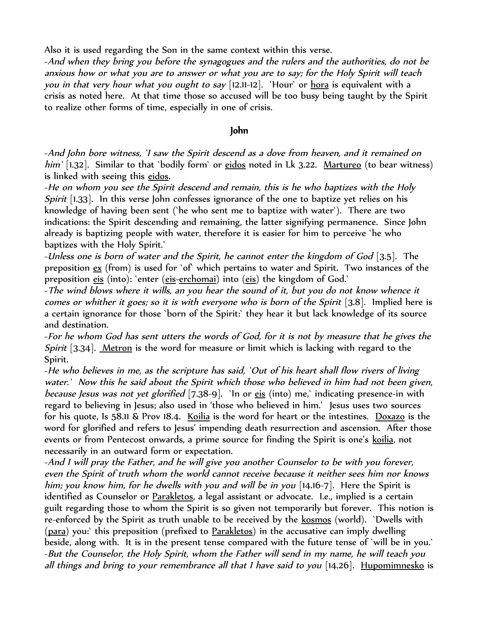Also it is used regarding the Son in the same context within this verse.

-And when they bring you before the synagogues and the rulers and the authorities, do not be anxious how or what you are to answer or what you are to say; for the Holy Spirit will teach *you in that very hour what you ought to say* [12.11-12]. `Hour` or <u>hora</u> is equivalent with a crisis as noted here. At that time those so accused will be too busy being taught by the Spirit to realize other forms of time, especially in one of crisis.

# John

-And John bore witness, `I saw the Spirit descend as a dove from heaven, and it remained on him' [1.32]. Similar to that 'bodily form' or eidos noted in Lk 3.22. Martureo (to bear witness) is linked with seeing this eidos.

-He on whom you see the Spirit descend and remain, this is he who baptizes with the Holy Spirit [1.33]. In this verse John confesses ignorance of the one to baptize yet relies on his knowledge of having been sent (`he who sent me to baptize with water`). There are two indications: the Spirit descending and remaining, the latter signifying permanence. Since John already is baptizing people with water, therefore it is easier for him to perceive `he who baptizes with the Holy Spirit.`

-Unless one is born of water and the Spirit, he cannot enter the kingdom of God [3.5]. The preposition ex (from) is used for `of` which pertains to water and Spirit. Two instances of the preposition eis (into): `enter (eis-erchomai) into (eis) the kingdom of God.`

-The wind blows where it wills, an you hear the sound of it, but you do not know whence it comes or whither it goes; so it is with everyone who is born of the Spirit [3.8]. Implied here is a certain ignorance for those `born of the Spirit:` they hear it but lack knowledge of its source and destination.

-For he whom God has sent utters the words of God, for it is not by measure that he gives the Spirit [3.34]. Metron is the word for measure or limit which is lacking with regard to the Spirit.

-He who believes in me, as the scripture has said, `Out of his heart shall flow rivers of living water.` Now this he said about the Spirit which those who believed in him had not been given, because Jesus was not yet glorified [7.38-9]. `In or eis (into) me,` indicating presence-in with regard to believing in Jesus; also used in 'those who believed in him.` Jesus uses two sources for his quote, Is 58.11 & Prov 18.4. Koilia is the word for heart or the intestines. Doxazo is the word for glorified and refers to Jesus' impending death resurrection and ascension. After those events or from Pentecost onwards, a prime source for finding the Spirit is one's koilia, not necessarily in an outward form or expectation.

-And I will pray the Father, and he will give you another Counselor to be with you forever, even the Spirit of truth whom the world cannot receive because it neither sees him nor knows him; you know him, for he dwells with you and will be in you [14.16-7]. Here the Spirit is identified as Counselor or Parakletos, a legal assistant or advocate. I.e., implied is a certain guilt regarding those to whom the Spirit is so given not temporarily but forever. This notion is re-enforced by the Spirit as truth unable to be received by the kosmos (world). `Dwells with (para) you: this preposition (prefixed to Parakletos) in the accusative can imply dwelling beside, along with. It is in the present tense compared with the future tense of `will be in you.` -But the Counselor, the Holy Spirit, whom the Father will send in my name, he will teach you all things and bring to your remembrance all that I have said to you [14.26]. Hupomimnesko is